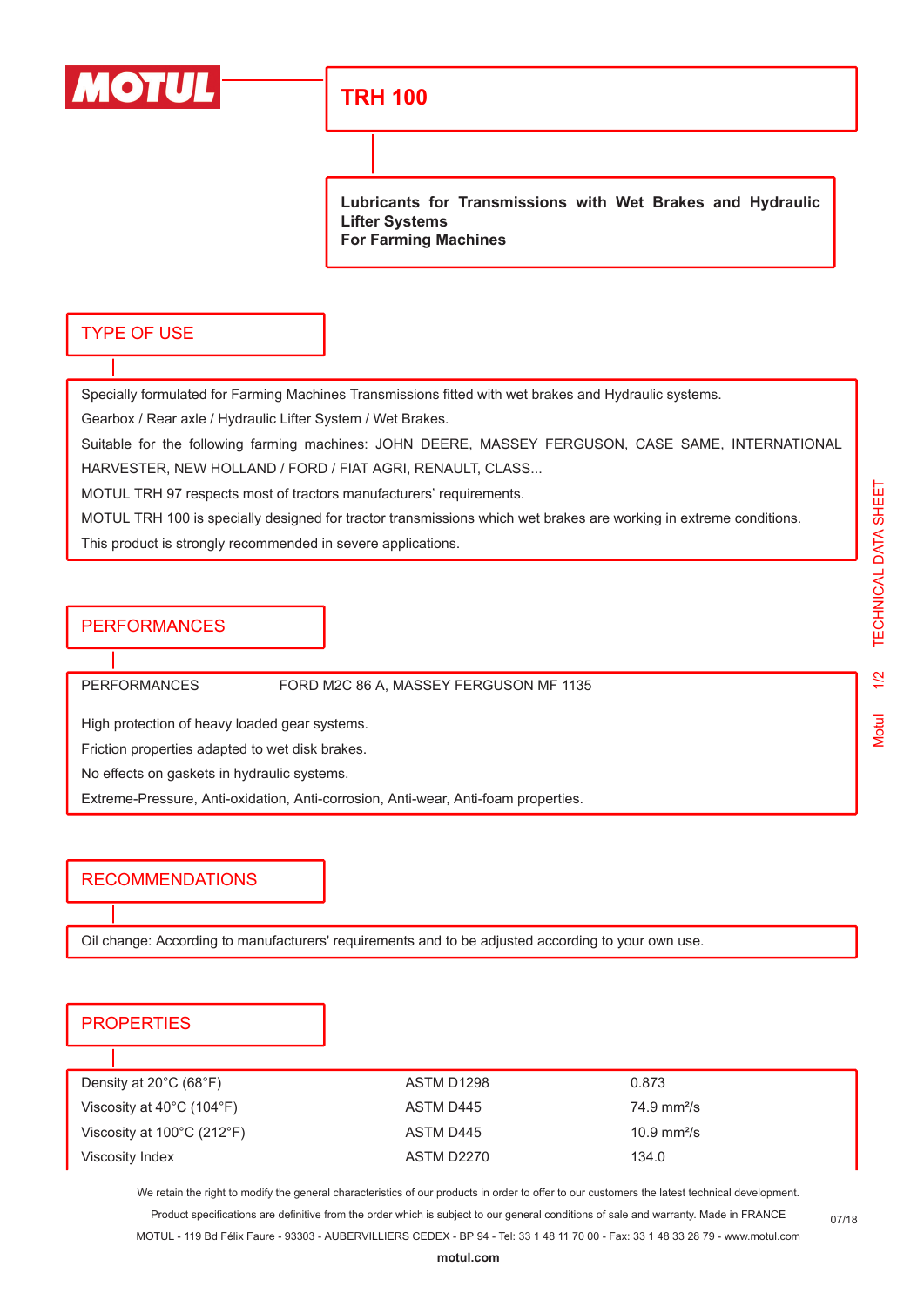

# **TRH 100**

**Lubricants for Transmissions with Wet Brakes and Hydraulic Lifter Systems For Farming Machines**

#### TYPE OF USE

Specially formulated for Farming Machines Transmissions fitted with wet brakes and Hydraulic systems.

Gearbox / Rear axle / Hydraulic Lifter System / Wet Brakes.

Suitable for the following farming machines: JOHN DEERE, MASSEY FERGUSON, CASE SAME, INTERNATIONAL HARVESTER, NEW HOLLAND / FORD / FIAT AGRI, RENAULT, CLASS...

MOTUL TRH 97 respects most of tractors manufacturers' requirements.

MOTUL TRH 100 is specially designed for tractor transmissions which wet brakes are working in extreme conditions.

This product is strongly recommended in severe applications.

## **PERFORMANCES**

PERFORMANCES FORD M2C 86 A, MASSEY FERGUSON MF 1135

High protection of heavy loaded gear systems.

Friction properties adapted to wet disk brakes.

No effects on gaskets in hydraulic systems.

Extreme-Pressure, Anti-oxidation, Anti-corrosion, Anti-wear, Anti-foam properties.

## RECOMMENDATIONS

Oil change: According to manufacturers' requirements and to be adjusted according to your own use.

#### **PROPERTIES**

| ASTM D1298 | 0.873                        |
|------------|------------------------------|
| ASTM D445  | $74.9 \text{ mm}^2/\text{s}$ |
| ASTM D445  | 10.9 mm <sup>2</sup> /s      |
| ASTM D2270 | 134.0                        |
|            |                              |

We retain the right to modify the general characteristics of our products in order to offer to our customers the latest technical development. Product specifications are definitive from the order which is subject to our general conditions of sale and warranty. Made in FRANCE

MOTUL - 119 Bd Félix Faure - 93303 - AUBERVILLIERS CEDEX - BP 94 - Tel: 33 1 48 11 70 00 - Fax: 33 1 48 33 28 79 - www.motul.com